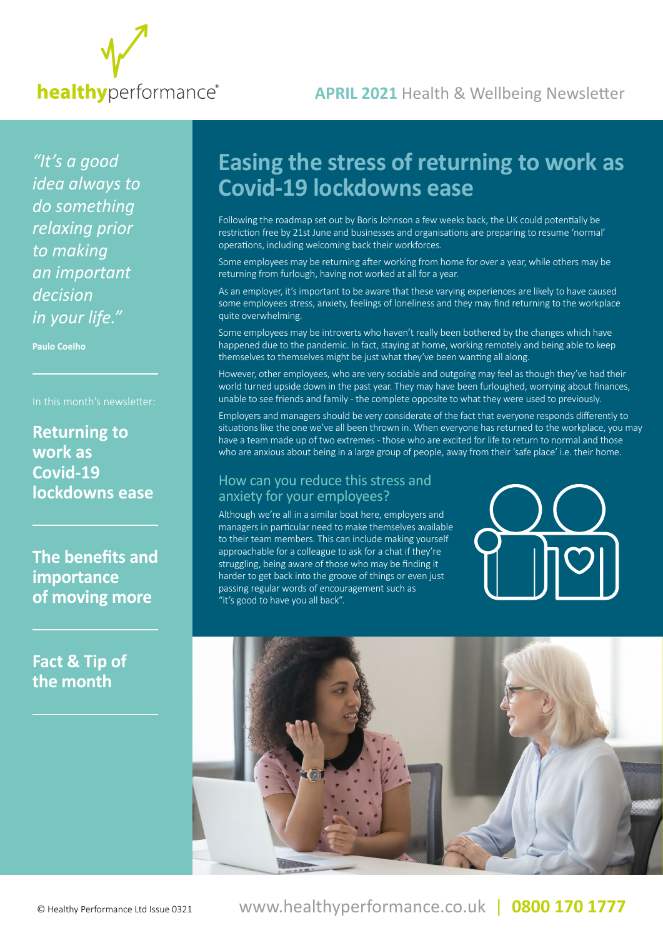

### **APRIL 2021** Health & Wellbeing Newsletter

*"It's a good idea always to do something relaxing prior to making an important decision in your life."*

**Paulo Coelho**

**Returning to work as Covid-19 lockdowns ease**

**The benefits and importance of moving more**

**Fact & Tip of the month**

# **Easing the stress of returning to work as Covid-19 lockdowns ease**

Following the roadmap set out by Boris Johnson a few weeks back, the UK could potentially be restriction free by 21st June and businesses and organisations are preparing to resume 'normal' operations, including welcoming back their workforces.

Some employees may be returning after working from home for over a year, while others may be returning from furlough, having not worked at all for a year.

As an employer, it's important to be aware that these varying experiences are likely to have caused some employees stress, anxiety, feelings of loneliness and they may find returning to the workplace quite overwhelming.

Some employees may be introverts who haven't really been bothered by the changes which have happened due to the pandemic. In fact, staying at home, working remotely and being able to keep themselves to themselves might be just what they've been wanting all along.

However, other employees, who are very sociable and outgoing may feel as though they've had their world turned upside down in the past year. They may have been furloughed, worrying about finances, unable to see friends and family - the complete opposite to what they were used to previously.

Employers and managers should be very considerate of the fact that everyone responds differently to situations like the one we've all been thrown in. When everyone has returned to the workplace, you may have a team made up of two extremes - those who are excited for life to return to normal and those who are anxious about being in a large group of people, away from their 'safe place' i.e. their home.

#### How can you reduce this stress and anxiety for your employees?

Although we're all in a similar boat here, employers and managers in particular need to make themselves available to their team members. This can include making yourself approachable for a colleague to ask for a chat if they're struggling, being aware of those who may be finding it harder to get back into the groove of things or even just passing regular words of encouragement such as "it's good to have you all back".



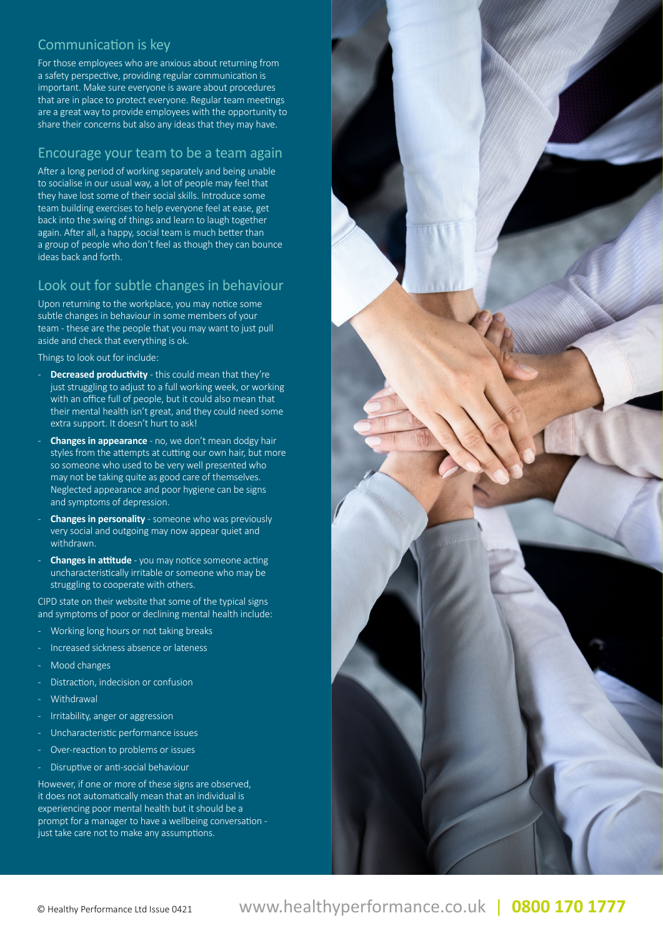#### Communication is key

For those employees who are anxious about returning from a safety perspective, providing regular communication is important. Make sure everyone is aware about procedures that are in place to protect everyone. Regular team meetings are a great way to provide employees with the opportunity to share their concerns but also any ideas that they may have.

#### Encourage your team to be a team again

After a long period of working separately and being unable to socialise in our usual way, a lot of people may feel that they have lost some of their social skills. Introduce some team building exercises to help everyone feel at ease, get back into the swing of things and learn to laugh together again. After all, a happy, social team is much better than a group of people who don't feel as though they can bounce ideas back and forth.

#### Look out for subtle changes in behaviour

Upon returning to the workplace, you may notice some subtle changes in behaviour in some members of your team - these are the people that you may want to just pull aside and check that everything is ok.

Things to look out for include:

- **Decreased productivity** this could mean that they're just struggling to adjust to a full working week, or working with an office full of people, but it could also mean that their mental health isn't great, and they could need some extra support. It doesn't hurt to ask!
- **Changes in appearance** no, we don't mean dodgy hair styles from the attempts at cutting our own hair, but more so someone who used to be very well presented who may not be taking quite as good care of themselves. Neglected appearance and poor hygiene can be signs and symptoms of depression.
- **Changes in personality** someone who was previously very social and outgoing may now appear quiet and withdrawn.
- **Changes in attitude** you may notice someone acting uncharacteristically irritable or someone who may be struggling to cooperate with others.

CIPD state on their website that some of the typical signs and symptoms of poor or declining mental health include:

- Working long hours or not taking breaks
- Increased sickness absence or lateness
- Mood changes
- Distraction, indecision or confusion
- Withdrawal
- Irritability, anger or aggression
- Uncharacteristic performance issues
- Over-reaction to problems or issues
- Disruptive or anti-social behaviour

However, if one or more of these signs are observed, it does not automatically mean that an individual is experiencing poor mental health but it should be a prompt for a manager to have a wellbeing conversation just take care not to make any assumptions.

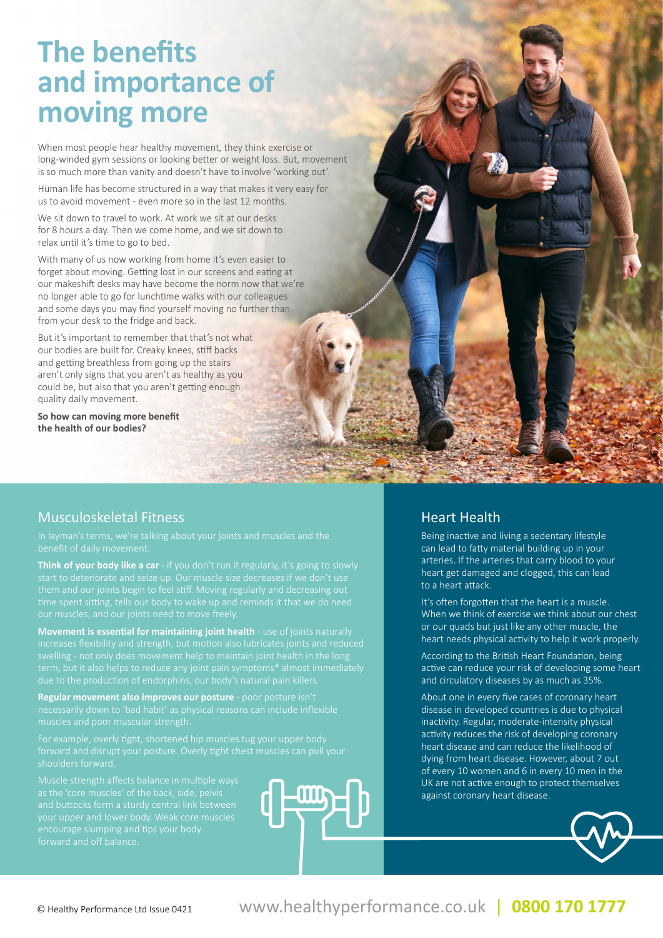# **The benefits and importance of moving more**

When most people hear healthy movement, they think exercise or long-winded gym sessions or looking better or weight loss. But, movement is so much more than vanity and doesn't have to involve 'working out'.

Human life has become structured in a way that makes it very easy for us to avoid movement - even more so in the last 12 months.

We sit down to travel to work. At work we sit at our desks for 8 hours a day. Then we come home, and we sit down to relax until it's time to go to bed.

With many of us now working from home it's even easier to forget about moving. Getting lost in our screens and eating at our makeshift desks may have become the norm now that we're no longer able to go for lunchtime walks with our colleagues and some days you may find yourself moving no further than from your desk to the fridge and back.

But it's important to remember that that's not what our bodies are built for. Creaky knees, stiff backs and getting breathless from going up the stairs aren't only signs that you aren't as healthy as you could be, but also that you aren't getting enough quality daily movement.

**So how can moving more benefit the health of our bodies?**

#### Musculoskeletal Fitness

**Think of your body like a car** - if you don't run it regularly, it's going to slowly

**Movement is essential for maintaining joint health** - use of joints naturally

**Regular movement also improves our posture** - poor posture isn't necessarily down to 'bad habit' as physical reasons can include inflexible

encourage slumping and tips your body forward and off balance.



#### Heart Health

Being inactive and living a sedentary lifestyle can lead to fatty material building up in your arteries. If the arteries that carry blood to your heart get damaged and clogged, this can lead to a heart attack.

It's often forgotten that the heart is a muscle. When we think of exercise we think about our chest or our quads but just like any other muscle, the heart needs physical activity to help it work properly.

According to the British Heart Foundation, being active can reduce your risk of developing some heart and circulatory diseases by as much as 35%.

About one in every five cases of coronary heart disease in developed countries is due to physical inactivity. Regular, moderate-intensity physical activity reduces the risk of developing coronary heart disease and can reduce the likelihood of dying from heart disease. However, about 7 out of every 10 women and 6 in every 10 men in the UK are not active enough to protect themselves against coronary heart disease.